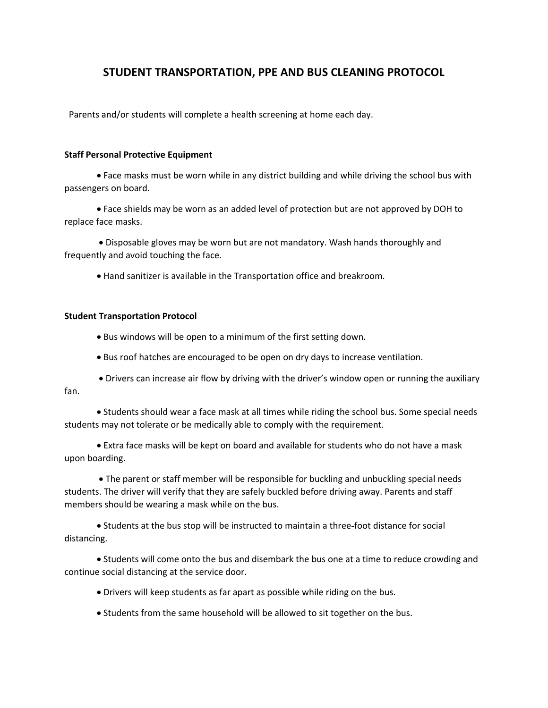## **STUDENT TRANSPORTATION, PPE AND BUS CLEANING PROTOCOL**

Parents and/or students will complete a health screening at home each day.

## **Staff Personal Protective Equipment**

• Face masks must be worn while in any district building and while driving the school bus with passengers on board.

• Face shields may be worn as an added level of protection but are not approved by DOH to replace face masks.

• Disposable gloves may be worn but are not mandatory. Wash hands thoroughly and frequently and avoid touching the face.

• Hand sanitizer is available in the Transportation office and breakroom.

## **Student Transportation Protocol**

- Bus windows will be open to a minimum of the first setting down.
- Bus roof hatches are encouraged to be open on dry days to increase ventilation.
- Drivers can increase air flow by driving with the driver's window open or running the auxiliary fan.

• Students should wear a face mask at all times while riding the school bus. Some special needs students may not tolerate or be medically able to comply with the requirement.

• Extra face masks will be kept on board and available for students who do not have a mask upon boarding.

• The parent or staff member will be responsible for buckling and unbuckling special needs students. The driver will verify that they are safely buckled before driving away. Parents and staff members should be wearing a mask while on the bus.

• Students at the bus stop will be instructed to maintain a three-foot distance for social distancing.

• Students will come onto the bus and disembark the bus one at a time to reduce crowding and continue social distancing at the service door.

- Drivers will keep students as far apart as possible while riding on the bus.
- Students from the same household will be allowed to sit together on the bus.